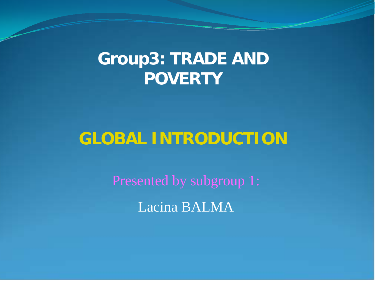## **Group3: TRADE AND POVERTY**

# **GLOBAL INTRODUCTION**

Presented by subgroup 1: Lacina BALMA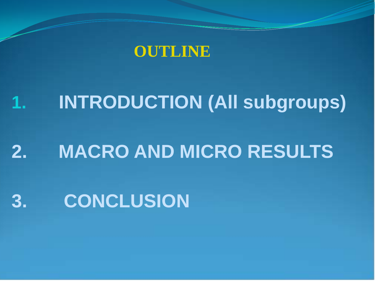

# **1. INTRODUCTION (All subgroups) 2. MACRO AND MICRO RESULTS**

# **3. CONCLUSION**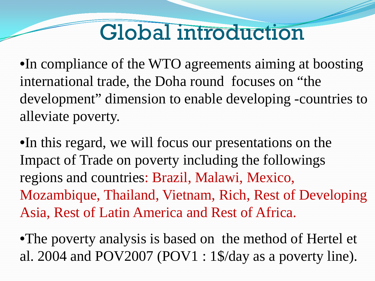# Global introduction

•In compliance of the WTO agreements aiming at boosting international trade, the Doha round focuses on "the development" dimension to enable developing -countries to alleviate poverty.

•In this regard, we will focus our presentations on the Impact of Trade on poverty including the followings regions and countries: Brazil, Malawi, Mexico, Mozambique, Thailand, Vietnam, Rich, Rest of Developing Asia, Rest of Latin America and Rest of Africa.

•The poverty analysis is based on the method of Hertel et al. 2004 and POV2007 (POV1 : 1\$/day as a poverty line).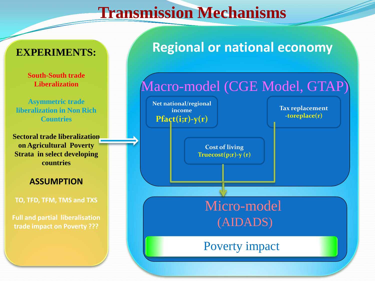## **Transmission Mechanisms**

### **EXPERIMENTS:**

**South-South trade Liberalization** 

**Asymmetric trade liberalization in Non Rich Countries**

**Sectoral trade liberalization on Agricultural Poverty Strata in select developing countries**

#### **ASSUMPTION**

**TO, TFD, TFM, TMS and TXS**

**Full and partial liberalisation trade impact on Poverty ???**

## **Regional or national economy**

## Macro-model (CGE Model, GTAP) Micro-model (AIDADS) Poverty impact **Net national/regional income**  $Pfact(i;r)-y(r)$ **Tax replacement -toreplace(r) Cost of living Truecost(p;r)-y (r)**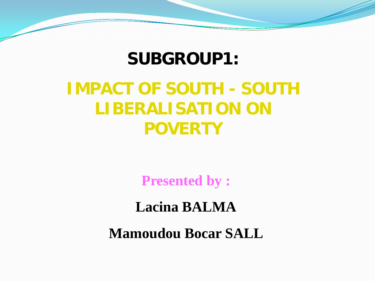## **SUBGROUP1:**

# **IMPACT OF SOUTH - SOUTH LIBERALISATION ON POVERTY**

**Presented by :**

**Lacina BALMA**

**Mamoudou Bocar SALL**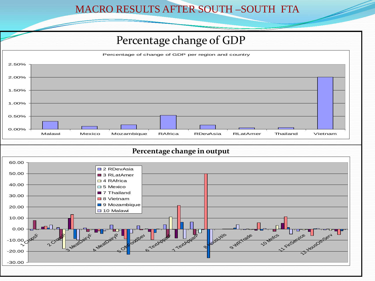#### MACRO RESULTS AFTER SOUTH –SOUTH FTA

## Percentage change of GDP



#### **Percentage change in output**

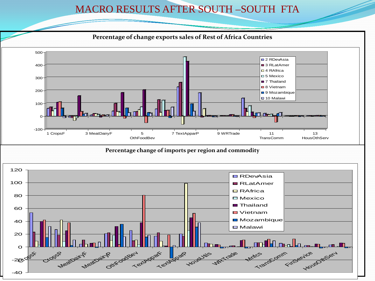#### MACRO RESULTS AFTER SOUTH –SOUTH FTA



 $-40$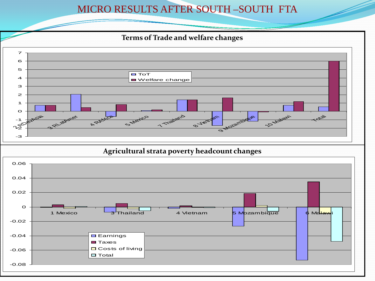#### MICRO RESULTS AFTER SOUTH –SOUTH FTA

#### **Terms of Trade and welfare changes**



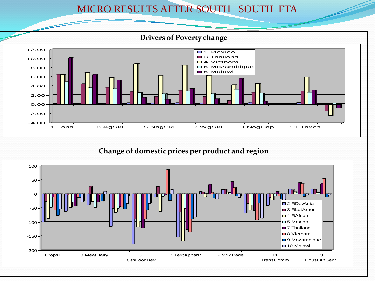#### MICRO RESULTS AFTER SOUTH –SOUTH FTA

#### **Drivers of Poverty change**



#### **Change of domestic prices per product and region**

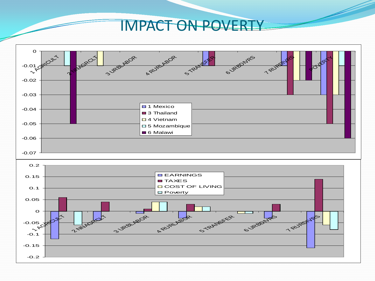## IMPACT ON POVERTY